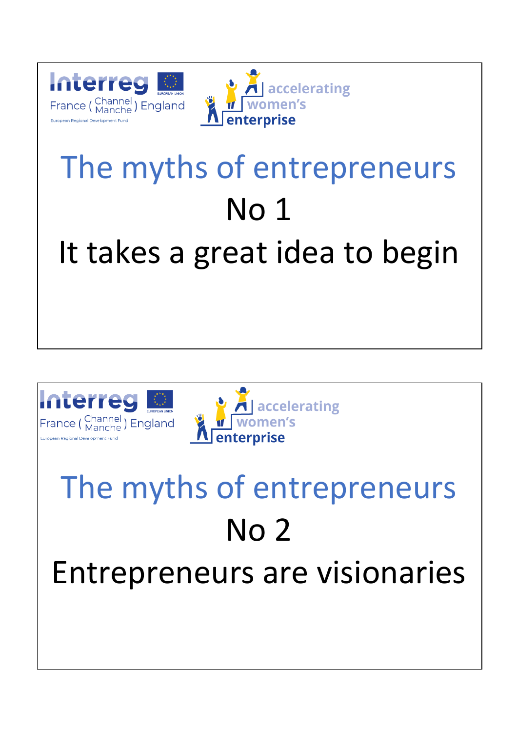



### The myths of entrepreneurs No 1 It takes a great idea to begin





### The myths of entrepreneurs No 2 Entrepreneurs are visionaries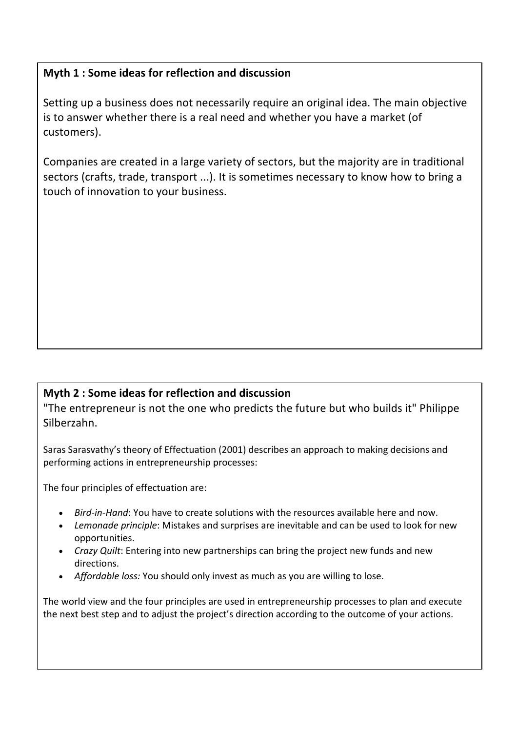#### **Myth 1 : Some ideas for reflection and discussion**

Setting up a business does not necessarily require an original idea. The main objective is to answer whether there is a real need and whether you have a market (of customers).

Companies are created in a large variety of sectors, but the majority are in traditional sectors (crafts, trade, transport ...). It is sometimes necessary to know how to bring a touch of innovation to your business.

### **Myth 2 : Some ideas for reflection and discussion**

"The entrepreneur is not the one who predicts the future but who builds it" Philippe Silberzahn.

Saras Sarasvathy's theory of Effectuation (2001) describes an approach to making decisions and performing actions in entrepreneurship processes:

The four principles of effectuation are:

- *Bird-in-Hand*: You have to create solutions with the resources available here and now.
- *Lemonade principle*: Mistakes and surprises are inevitable and can be used to look for new opportunities.
- *Crazy Quilt*: Entering into new partnerships can bring the project new funds and new directions.
- *Affordable loss:* You should only invest as much as you are willing to lose.

The world view and the four principles are used in entrepreneurship processes to plan and execute the next best step and to adjust the project's direction according to the outcome of your actions.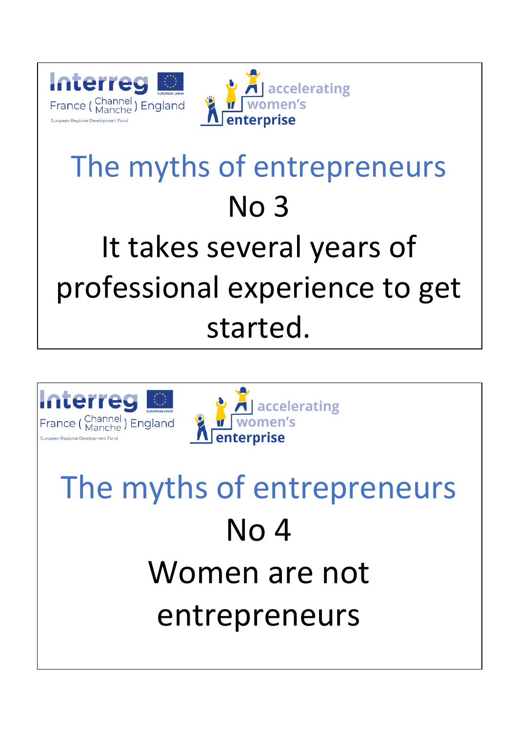



### The myths of entrepreneurs No 3 It takes several years of professional experience to get started.





# The myths of entrepreneurs No 4 Women are not entrepreneurs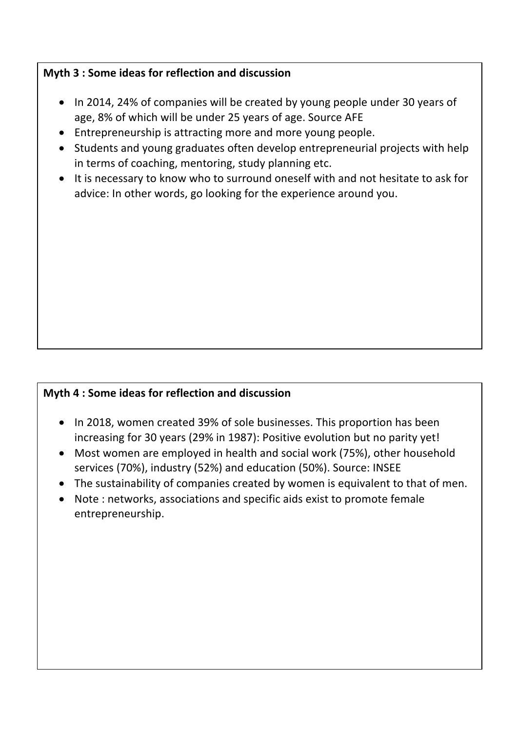#### **Myth 3 : Some ideas for reflection and discussion**

- In 2014, 24% of companies will be created by young people under 30 years of age, 8% of which will be under 25 years of age. Source AFE
- Entrepreneurship is attracting more and more young people.
- Students and young graduates often develop entrepreneurial projects with help in terms of coaching, mentoring, study planning etc.
- It is necessary to know who to surround oneself with and not hesitate to ask for advice: In other words, go looking for the experience around you.

### **Myth 4 : Some ideas for reflection and discussion**

- In 2018, women created 39% of sole businesses. This proportion has been increasing for 30 years (29% in 1987): Positive evolution but no parity yet!
- Most women are employed in health and social work (75%), other household services (70%), industry (52%) and education (50%). Source: INSEE
- The sustainability of companies created by women is equivalent to that of men.
- Note : networks, associations and specific aids exist to promote female entrepreneurship.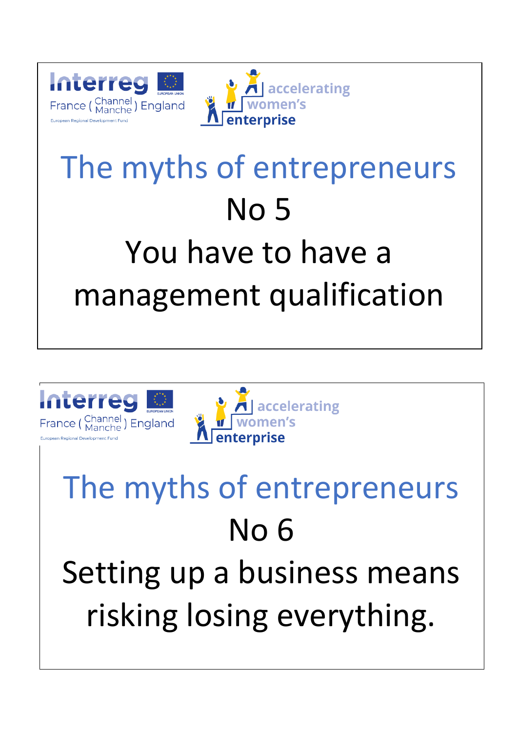



## The myths of entrepreneurs No 5 You have to have a management qualification





## The myths of entrepreneurs No 6 Setting up a business means risking losing everything.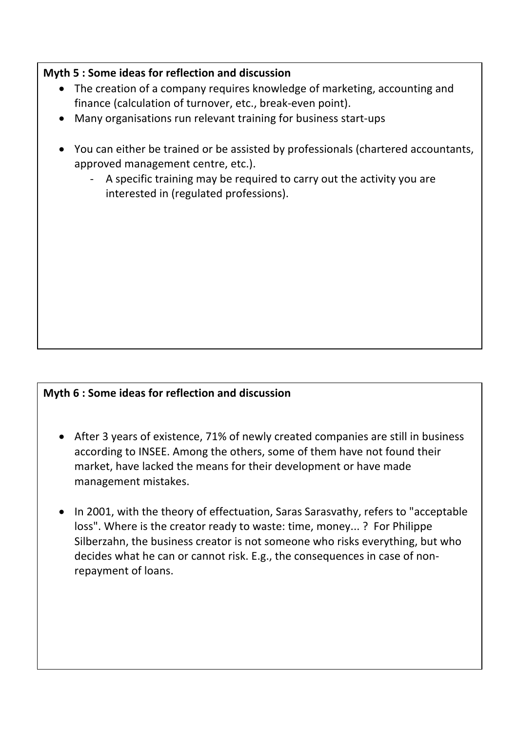#### **Myth 5 : Some ideas for reflection and discussion**

- The creation of a company requires knowledge of marketing, accounting and finance (calculation of turnover, etc., break-even point).
- Many organisations run relevant training for business start-ups
- You can either be trained or be assisted by professionals (chartered accountants, approved management centre, etc.).
	- A specific training may be required to carry out the activity you are interested in (regulated professions).

### **Myth 6 : Some ideas for reflection and discussion**

- After 3 years of existence, 71% of newly created companies are still in business according to INSEE. Among the others, some of them have not found their market, have lacked the means for their development or have made management mistakes.
- In 2001, with the theory of effectuation, Saras Sarasvathy, refers to "acceptable loss". Where is the creator ready to waste: time, money... ? For Philippe Silberzahn, the business creator is not someone who risks everything, but who decides what he can or cannot risk. E.g., the consequences in case of nonrepayment of loans.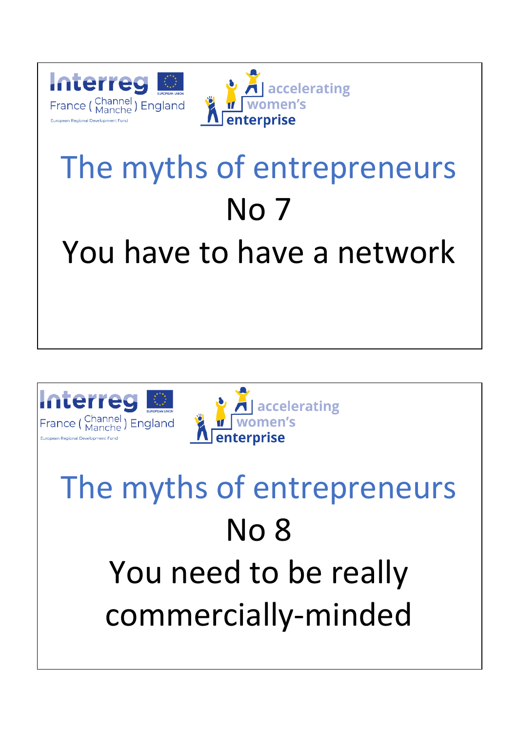



### The myths of entrepreneurs No 7 You have to have a network





## The myths of entrepreneurs No 8 You need to be really commercially-minded